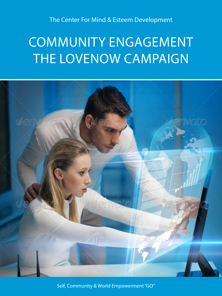The Center For Mind & Esteem Development

# COMMUNITY ENGAGEMENT THE LOVENOW CAMPAIGN



Self, Community & World Empowerment "GO"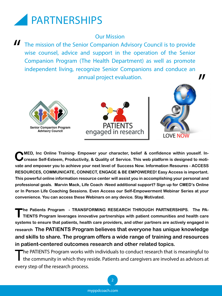

#### Our Mission

The mission of the Senior Companion Advisory Council is to provide wise counsel, advice and support in the operation of the Senior Companion Program (The Health Department) as well as promote independent living, recognize Senior Companions and conduce an annual project evaluation. "







"

**MED, Inc Online Training- Empower your character, belief & confidence within youself. In-S** crease Self-Esteem, Productivity, & Quality of Service. This web platform is designed to moti**vate and empower you to achieve your next level of Success Now. Information Resoures - ACCESS RESOURCES, COMMUNICATE, CONNECT, ENGAGE & BE EMPOWERED! Easy Access is important. This powerful online information resource center will assist you in accomplishing your personal and professional goals. Marvin Mack, Life Coach -Need additional support? Sign up for CMED's Online or In Person Life Coaching Sessions. Even Access our Self-Empowerment Webinar Series at your convenience. You can access these Webinars on any device. Stay Motivated.** 

The Patients Program - TRANSFORMING RESEARCH THROUGH PARTNERSHIPS. The PA-<br>
TIENTS Program leverages innovative partnerships with patient communities and health care **systems to ensure that patients, health care providers, and other partners are actively engaged in research The PATIENTS Program believes that everyone has unique knowledge and skills to share. The program offers a wide range of training and resources in patient-centered outcomes research and other related topics.**

The PATIENTS Program works with individuals to conduct research that is meaningful to<br>
the community in which they reside. Patients and caregivers are involved as advisors at every step of the research process.

2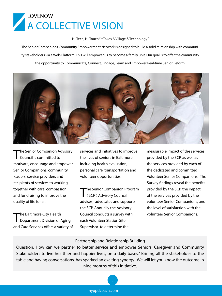

Hi-Tech, Hi-Touch "It Takes A Village & Technology"

The Senior Companions Community Empowerment Network is designed to build a solid relationship with community stakeholders via a Web-Platform. This will empower us to become a family unit. Our goal is to offer the community

the opportunity to Communicate, Connect, Engage, Learn and Empower Real-time Senior Reform.



**The Senior Companion Advisory** Council is committed to motivate, encourage and empower Senior Companions, community leaders, service providers and recipients of services to working together with care, compassion and fundraising to improve the quality of life for all.

The Baltimore City Health<br>
Department Division of Aging and Care Services offers a variety of services and initiatives to improve the lives of seniors in Baltimore, including health evaluation, personal care, transportation and volunteer opportunities.

The Senior Companion Program ( SCP ) Advisory Council advises, advocates and supports the SCP. Annually the Advisory Council conducts a survey with each Volunteer Station Site Supervisor to determine the

measurable impact of the services provided by the SCP, as well as the services provided by each of the dedicated and committed Volunteer Senior Companions. The Survey findings reveal the benefits provided by the SCP, the impact of the services provided by the volunteer Senior Companions, and the level of satisfaction with the volunteer Senior Companions.

#### Partnership and Relationship Building

Question, How can we partner to better service and empower Seniors, Caregiver and Community Stakeholders to live healthier and happier lives, on a daily bases? Brining all the stakeholder to the table and having conversations, has sparked an exciting synergy. We will let you know the outcome in nine months of this initiative.

3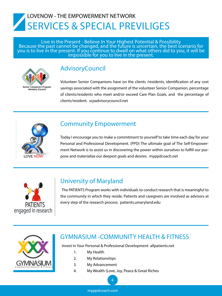# LOVENOW - THE EMPOWERMENT NETWORK SERVICES & SPECIAL PREVILIGES

Live in the Present - Believe In Your Highest Potential & Possibility Because the past cannot be changed, and the future is uncertain, the best scenario for you is to live in the present. If you continue to dwell on what others did to you, it will be<br>impossible for you to live in the present.



## **AdvisoryCouncil**

Volunteer Senior Companions have on the clients /residents, identification of any cost savings associated with the assignment of the volunteer Senior Companion, percentage of clients/residents who meet and/or exceed Care Plan Goals, and the percentage of clients/resident. scpadvisorycouncil.net



#### Community Empowerment

Today I encourage you to make a commitment to yourself to take time each day for your Personal and Professional Development. (PPD) The ultimate goal of The Self-Empowerment Network is to assist us in discovering the power within ourselves to fulfill our purpose and materialize our deepest goals and desires. myppdcoach.net



### University of Maryland

The PATIENTS Program works with individuals to conduct research that is meaningful to the community in which they reside. Patients and caregivers are involved as advisors at every step of the research process. patients.umaryland.edu



#### GYMNASIUM -COMMUNITY HEALTH & FITNESS

Invest In Your Personal & Professional Development allpatients.net

- 1. My Health
- 2. My Relationships
- 3. My Advancement
- 4. My Wealth (Love, Joy, Peace & Great Riches

4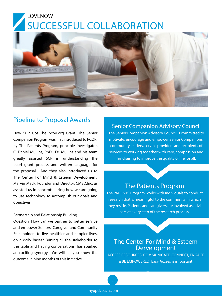# LOVENOW SUCCESSFUL COLLABORATION



#### Pipeline to Proposal Awards

How SCP Got The pcori.org Grant: The Senior Companion Program was first introduced to PCORI by The Patients Program, principle investigator, C. Daniel Mullins, PhD. Dr. Mullins and his team greatly assisted SCP in understanding the pcori grant process and written language for the proposal. And they also introduced us to The Center For Mind & Esteem Development, Marvin Mack, Founder and Director. CMED,Inc. as assisted us in conceptualizing how we are going to use technology to accomplish our goals and objectives.

#### Partnership and Relationship Building

Question, How can we partner to better service and empower Seniors, Caregiver and Community Stakeholders to live healthier and happier lives, on a daily bases? Brining all the stakeholder to the table and having conversations, has sparked an exciting synergy. We will let you know the outcome in nine months of this initiative.

#### Senior Companion Advisory Council

The Senior Companion Advisory Council is committed to motivate, encourage and empower Senior Companions, community leaders, service providers and recipients of services to working together with care, compassion and fundraising to improve the quality of life for all.

#### The Patients Program

The PATIENTS Program works with individuals to conduct research that is meaningful to the community in which they reside. Patients and caregivers are involved as advisors at every step of the research process.

#### The Center For Mind & Esteem Dervelopment

ACCESS RESOURCES, COMMUNICATE, CONNECT, ENGAGE & BE EMPOWERED! Easy Access is important.